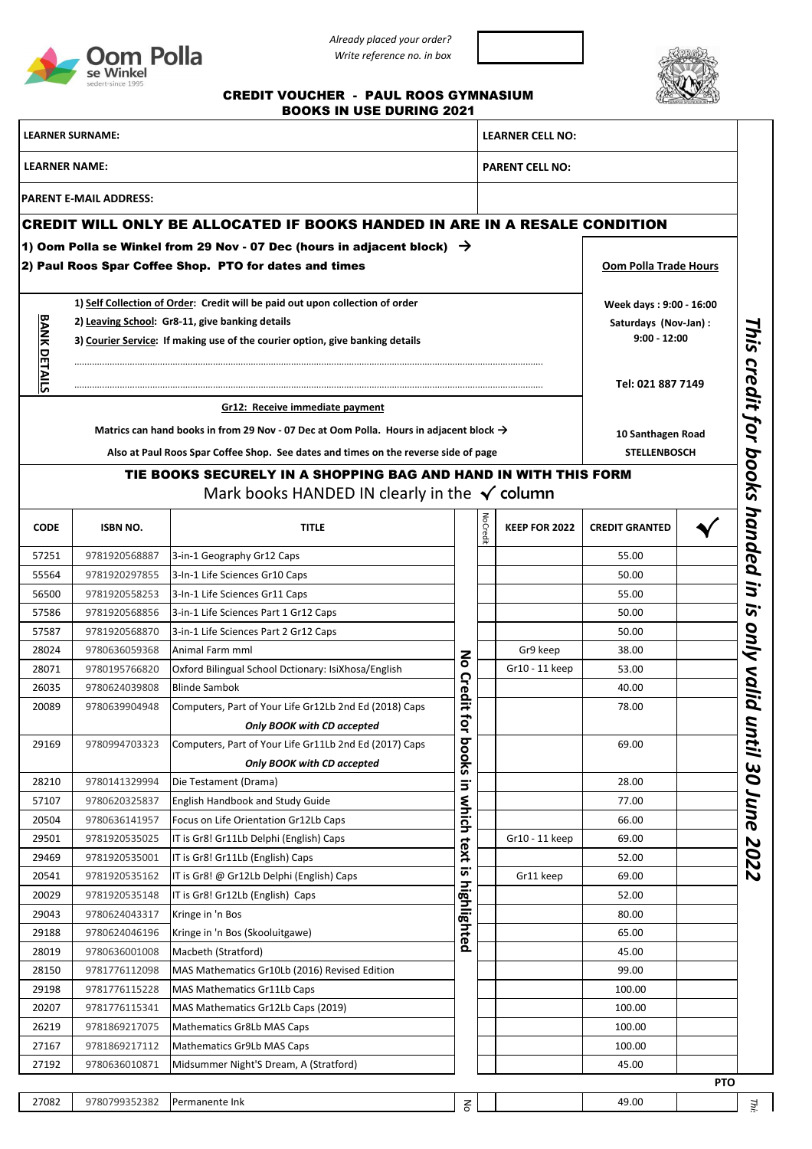

*Already placed your order? Write reference no. in box*



## CREDIT VOUCHER - PAUL ROOS GYMNASIUM BOOKS IN USE DURING 2021

| <b>LEARNER SURNAME:</b><br><b>LEARNER NAME:</b> |                                                 |                                                                                                                                               |              |                 | <b>LEARNER CELL NO:</b><br><b>PARENT CELL NO:</b> |                                          |            |  |  |
|-------------------------------------------------|-------------------------------------------------|-----------------------------------------------------------------------------------------------------------------------------------------------|--------------|-----------------|---------------------------------------------------|------------------------------------------|------------|--|--|
|                                                 |                                                 |                                                                                                                                               |              |                 |                                                   |                                          |            |  |  |
|                                                 | <b>PARENT E-MAIL ADDRESS:</b>                   |                                                                                                                                               |              |                 |                                                   |                                          |            |  |  |
|                                                 |                                                 | <b>CREDIT WILL ONLY BE ALLOCATED IF BOOKS HANDED IN ARE IN A RESALE CONDITION</b>                                                             |              |                 |                                                   |                                          |            |  |  |
|                                                 |                                                 | 1) Oom Polla se Winkel from 29 Nov - 07 Dec (hours in adjacent block) $\rightarrow$<br>2) Paul Roos Spar Coffee Shop. PTO for dates and times |              |                 |                                                   | <b>Oom Polla Trade Hours</b>             |            |  |  |
|                                                 |                                                 | 1) Self Collection of Order: Credit will be paid out upon collection of order                                                                 |              |                 |                                                   | Week days: 9:00 - 16:00                  |            |  |  |
|                                                 | 2) Leaving School: Gr8-11, give banking details |                                                                                                                                               |              |                 | Saturdays (Nov-Jan) :                             |                                          |            |  |  |
| <b>BANK DETAILS</b>                             |                                                 | 3) Courier Service: If making use of the courier option, give banking details                                                                 |              |                 |                                                   | $9:00 - 12:00$                           |            |  |  |
|                                                 |                                                 |                                                                                                                                               |              |                 |                                                   |                                          |            |  |  |
|                                                 |                                                 | Tel: 021 887 7149                                                                                                                             |              |                 |                                                   |                                          |            |  |  |
|                                                 |                                                 | Gr12: Receive immediate payment                                                                                                               |              |                 |                                                   |                                          |            |  |  |
|                                                 |                                                 | Matrics can hand books in from 29 Nov - 07 Dec at Oom Polla. Hours in adjacent block $\rightarrow$                                            |              |                 |                                                   |                                          |            |  |  |
|                                                 |                                                 | Also at Paul Roos Spar Coffee Shop. See dates and times on the reverse side of page                                                           |              |                 |                                                   | 10 Santhagen Road<br><b>STELLENBOSCH</b> |            |  |  |
|                                                 |                                                 |                                                                                                                                               |              |                 |                                                   |                                          |            |  |  |
|                                                 |                                                 | TIE BOOKS SECURELY IN A SHOPPING BAG AND HAND IN WITH THIS FORM<br>Mark books HANDED IN clearly in the $\checkmark$ column                    |              |                 |                                                   |                                          |            |  |  |
| <b>CODE</b>                                     | <b>ISBN NO.</b>                                 | <b>TITLE</b>                                                                                                                                  |              | <b>JoCredit</b> | <b>KEEP FOR 2022</b>                              | <b>CREDIT GRANTED</b>                    |            |  |  |
| 57251                                           | 9781920568887                                   | 3-in-1 Geography Gr12 Caps                                                                                                                    |              |                 |                                                   | 55.00                                    |            |  |  |
| 55564                                           | 9781920297855                                   | 3-In-1 Life Sciences Gr10 Caps                                                                                                                |              |                 |                                                   | 50.00                                    |            |  |  |
| 56500                                           | 9781920558253                                   | 3-In-1 Life Sciences Gr11 Caps                                                                                                                |              |                 |                                                   | 55.00                                    |            |  |  |
| 57586                                           | 9781920568856                                   | 3-in-1 Life Sciences Part 1 Gr12 Caps                                                                                                         |              |                 |                                                   | 50.00                                    |            |  |  |
| 57587                                           | 9781920568870                                   | 3-in-1 Life Sciences Part 2 Gr12 Caps                                                                                                         |              |                 |                                                   | 50.00                                    |            |  |  |
| 28024                                           | 9780636059368                                   | Animal Farm mml                                                                                                                               | $\mathbf{S}$ |                 | Gr9 keep                                          | 38.00                                    |            |  |  |
| 28071                                           | 9780195766820                                   | Oxford Bilingual School Dctionary: IsiXhosa/English                                                                                           |              |                 | Gr10 - 11 keep                                    | 53.00                                    |            |  |  |
| 26035                                           | 9780624039808                                   | <b>Blinde Sambok</b>                                                                                                                          | Credit       |                 |                                                   | 40.00                                    |            |  |  |
| 20089                                           | 9780639904948                                   | Computers, Part of Your Life Gr12Lb 2nd Ed (2018) Caps                                                                                        | ಕ            |                 |                                                   | 78.00                                    |            |  |  |
|                                                 |                                                 | Only BOOK with CD accepted                                                                                                                    | ₹            |                 |                                                   |                                          |            |  |  |
| 29169                                           | 9780994703323                                   | Computers, Part of Your Life Gr11Lb 2nd Ed (2017) Caps                                                                                        | books        |                 |                                                   | 69.00                                    |            |  |  |
|                                                 |                                                 | Only BOOK with CD accepted                                                                                                                    |              |                 |                                                   |                                          |            |  |  |
| 28210                                           | 9780141329994                                   | Die Testament (Drama)                                                                                                                         | $\Xi$        |                 |                                                   | 28.00                                    |            |  |  |
| 57107                                           | 9780620325837                                   | English Handbook and Study Guide                                                                                                              | which        |                 |                                                   | 77.00                                    |            |  |  |
| 20504                                           | 9780636141957                                   | Focus on Life Orientation Gr12Lb Caps<br>IT is Gr8! Gr11Lb Delphi (English) Caps                                                              |              |                 | Gr10 - 11 keep                                    | 66.00                                    |            |  |  |
| 29501<br>29469                                  | 9781920535025<br>9781920535001                  | IT is Gr8! Gr11Lb (English) Caps                                                                                                              | text         |                 |                                                   | 69.00<br>52.00                           |            |  |  |
| 20541                                           | 9781920535162                                   | IT is Gr8! @ Gr12Lb Delphi (English) Caps                                                                                                     | <u>ო</u>     |                 | Gr11 keep                                         | 69.00                                    |            |  |  |
| 20029                                           | 9781920535148                                   | IT is Gr8! Gr12Lb (English) Caps                                                                                                              |              |                 |                                                   | 52.00                                    |            |  |  |
| 29043                                           | 9780624043317                                   | Kringe in 'n Bos                                                                                                                              | highlighted  |                 |                                                   | 80.00                                    |            |  |  |
| 29188                                           | 9780624046196                                   | Kringe in 'n Bos (Skooluitgawe)                                                                                                               |              |                 |                                                   | 65.00                                    |            |  |  |
| 28019                                           | 9780636001008                                   | Macbeth (Stratford)                                                                                                                           |              |                 |                                                   | 45.00                                    |            |  |  |
| 28150                                           | 9781776112098                                   | MAS Mathematics Gr10Lb (2016) Revised Edition                                                                                                 |              |                 |                                                   | 99.00                                    |            |  |  |
| 29198                                           | 9781776115228                                   | MAS Mathematics Gr11Lb Caps                                                                                                                   |              |                 |                                                   | 100.00                                   |            |  |  |
| 20207                                           | 9781776115341                                   | MAS Mathematics Gr12Lb Caps (2019)                                                                                                            |              |                 |                                                   | 100.00                                   |            |  |  |
| 26219                                           | 9781869217075                                   | Mathematics Gr8Lb MAS Caps                                                                                                                    |              |                 |                                                   | 100.00                                   |            |  |  |
| 27167                                           | 9781869217112                                   | Mathematics Gr9Lb MAS Caps                                                                                                                    |              |                 |                                                   | 100.00                                   |            |  |  |
| 27192                                           | 9780636010871                                   | Midsummer Night'S Dream, A (Stratford)                                                                                                        |              |                 |                                                   | 45.00                                    |            |  |  |
|                                                 |                                                 |                                                                                                                                               |              |                 |                                                   |                                          | <b>PTO</b> |  |  |
| 27082                                           | 9780799352382                                   | Permanente Ink                                                                                                                                | $\mathsf{S}$ |                 |                                                   | 49.00                                    |            |  |  |